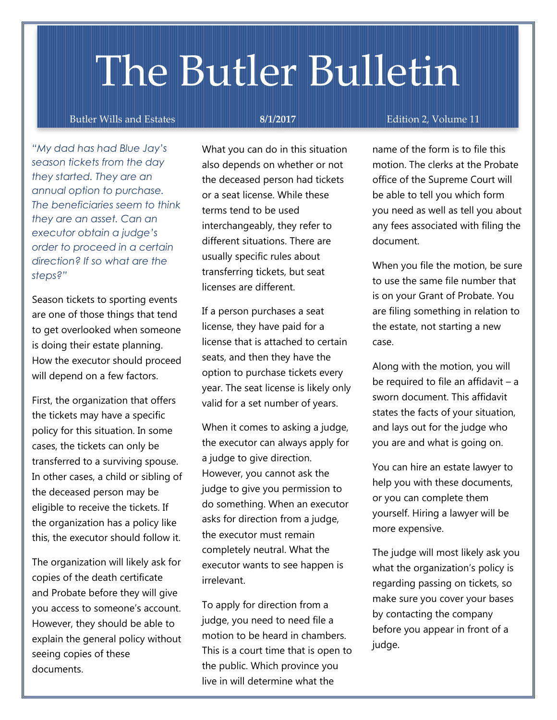# The Butler Bulletin

## Butler Wills and Estates **8/1/2017** Edition 2, Volume 11

*"My dad has had Blue Jay's season tickets from the day they started. They are an annual option to purchase. The beneficiaries seem to think they are an asset. Can an executor obtain a judge's order to proceed in a certain direction? If so what are the steps?"*

Season tickets to sporting events are one of those things that tend to get overlooked when someone is doing their estate planning. How the executor should proceed will depend on a few factors.

First, the organization that offers the tickets may have a specific policy for this situation. In some cases, the tickets can only be transferred to a surviving spouse. In other cases, a child or sibling of the deceased person may be eligible to receive the tickets. If the organization has a policy like this, the executor should follow it.

The organization will likely ask for copies of the death certificate and Probate before they will give you access to someone's account. However, they should be able to explain the general policy without seeing copies of these documents.

What you can do in this situation also depends on whether or not the deceased person had tickets or a seat license. While these terms tend to be used interchangeably, they refer to different situations. There are usually specific rules about transferring tickets, but seat licenses are different.

If a person purchases a seat license, they have paid for a license that is attached to certain seats, and then they have the option to purchase tickets every year. The seat license is likely only valid for a set number of years.

When it comes to asking a judge, the executor can always apply for a judge to give direction. However, you cannot ask the judge to give you permission to do something. When an executor asks for direction from a judge, the executor must remain completely neutral. What the executor wants to see happen is irrelevant.

To apply for direction from a judge, you need to need file a motion to be heard in chambers. This is a court time that is open to the public. Which province you live in will determine what the

name of the form is that you use that you use the form is that you use the form is that you use that  $\alpha$ 

name of the form is to file this motion. The clerks at the Probate office of the Supreme Court will be able to tell you which form you need as well as tell you about any fees associated with filing the document.

When you file the motion, be sure to use the same file number that is on your Grant of Probate. You are filing something in relation to the estate, not starting a new case.

Along with the motion, you will be required to file an affidavit – a sworn document. This affidavit states the facts of your situation, and lays out for the judge who you are and what is going on.

You can hire an estate lawyer to help you with these documents, or you can complete them yourself. Hiring a lawyer will be more expensive.

The judge will most likely ask you what the organization's policy is regarding passing on tickets, so make sure you cover your bases by contacting the company before you appear in front of a judge.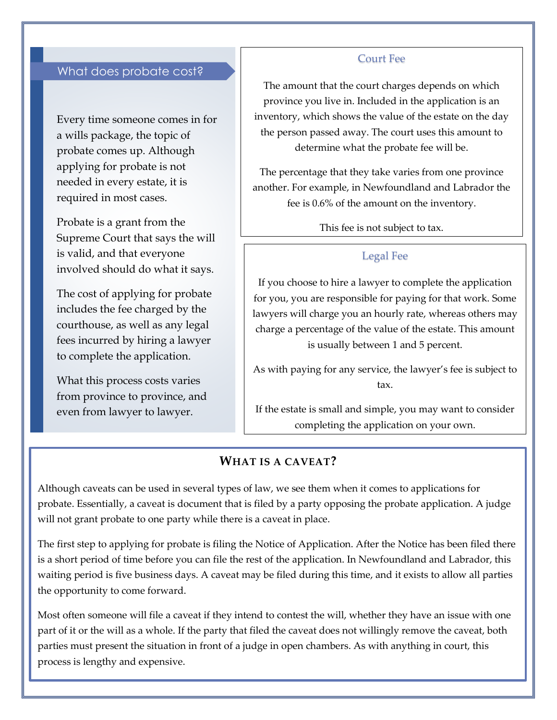# What does probate cost?

Every time someone comes in for a wills package, the topic of probate comes up. Although applying for probate is not needed in every estate, it is required in most cases.

Probate is a grant from the Supreme Court that says the will is valid, and that everyone involved should do what it says.

The cost of applying for probate includes the fee charged by the courthouse, as well as any legal fees incurred by hiring a lawyer to complete the application.

What this process costs varies from province to province, and even from lawyer to lawyer.

#### Court Fee

The amount that the court charges depends on which province you live in. Included in the application is an inventory, which shows the value of the estate on the day the person passed away. The court uses this amount to determine what the probate fee will be.

The percentage that they take varies from one province another. For example, in Newfoundland and Labrador the fee is 0.6% of the amount on the inventory.

This fee is not subject to tax.

#### Legal Fee

If you choose to hire a lawyer to complete the application for you, you are responsible for paying for that work. Some lawyers will charge you an hourly rate, whereas others may charge a percentage of the value of the estate. This amount is usually between 1 and 5 percent.

As with paying for any service, the lawyer's fee is subject to tax.

If the estate is small and simple, you may want to consider completing the application on your own.

# **WHAT IS A CAVEAT?**

Although caveats can be used in several types of law, we see them when it comes to applications for probate. Essentially, a caveat is document that is filed by a party opposing the probate application. A judge will not grant probate to one party while there is a caveat in place.

The first step to applying for probate is filing the Notice of Application. After the Notice has been filed there is a short period of time before you can file the rest of the application. In Newfoundland and Labrador, this waiting period is five business days. A caveat may be filed during this time, and it exists to allow all parties the opportunity to come forward.

Most often someone will file a caveat if they intend to contest the will, whether they have an issue with one part of it or the will as a whole. If the party that filed the caveat does not willingly remove the caveat, both parties must present the situation in front of a judge in open chambers. As with anything in court, this process is lengthy and expensive.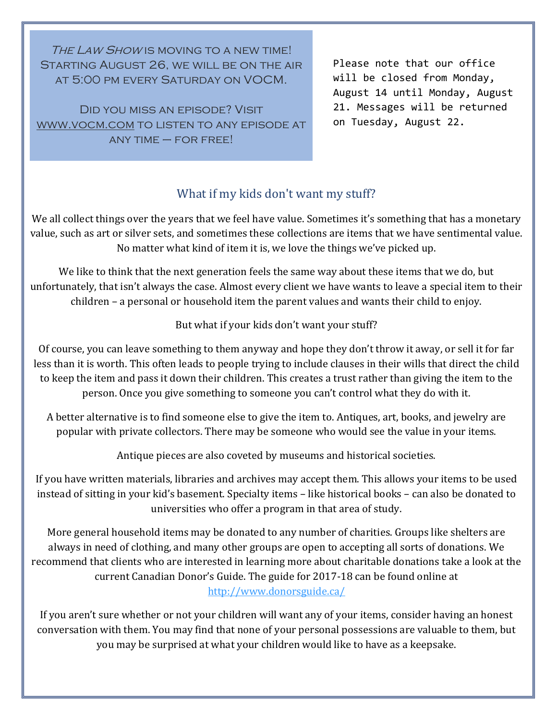THE LAW SHOW IS MOVING TO A NEW TIME! STARTING AUGUST 26, WE WILL BE ON THE AIR at 5:00 pm every Saturday on VOCM.

Did you miss an episode? Visit [www.vocm.com](http://www.vocm.com/) to listen to any episode at  $ANY$  TIME  $-$  FOR FREE!

Please note that our office will be closed from Monday, August 14 until Monday, August 21. Messages will be returned on Tuesday, August 22.

# What if my kids don't want my stuff?

We all collect things over the years that we feel have value. Sometimes it's something that has a monetary value, such as art or silver sets, and sometimes these collections are items that we have sentimental value. No matter what kind of item it is, we love the things we've picked up.

We like to think that the next generation feels the same way about these items that we do, but unfortunately, that isn't always the case. Almost every client we have wants to leave a special item to their children – a personal or household item the parent values and wants their child to enjoy.

# But what if your kids don't want your stuff?

Of course, you can leave something to them anyway and hope they don't throw it away, or sell it for far less than it is worth. This often leads to people trying to include clauses in their wills that direct the child to keep the item and pass it down their children. This creates a trust rather than giving the item to the person. Once you give something to someone you can't control what they do with it.

A better alternative is to find someone else to give the item to. Antiques, art, books, and jewelry are popular with private collectors. There may be someone who would see the value in your items.

Antique pieces are also coveted by museums and historical societies.

If you have written materials, libraries and archives may accept them. This allows your items to be used instead of sitting in your kid's basement. Specialty items – like historical books – can also be donated to universities who offer a program in that area of study.

More general household items may be donated to any number of charities. Groups like shelters are always in need of clothing, and many other groups are open to accepting all sorts of donations. We recommend that clients who are interested in learning more about charitable donations take a look at the current Canadian Donor's Guide. The guide for 2017-18 can be found online at <http://www.donorsguide.ca/>

If you aren't sure whether or not your children will want any of your items, consider having an honest conversation with them. You may find that none of your personal possessions are valuable to them, but you may be surprised at what your children would like to have as a keepsake.